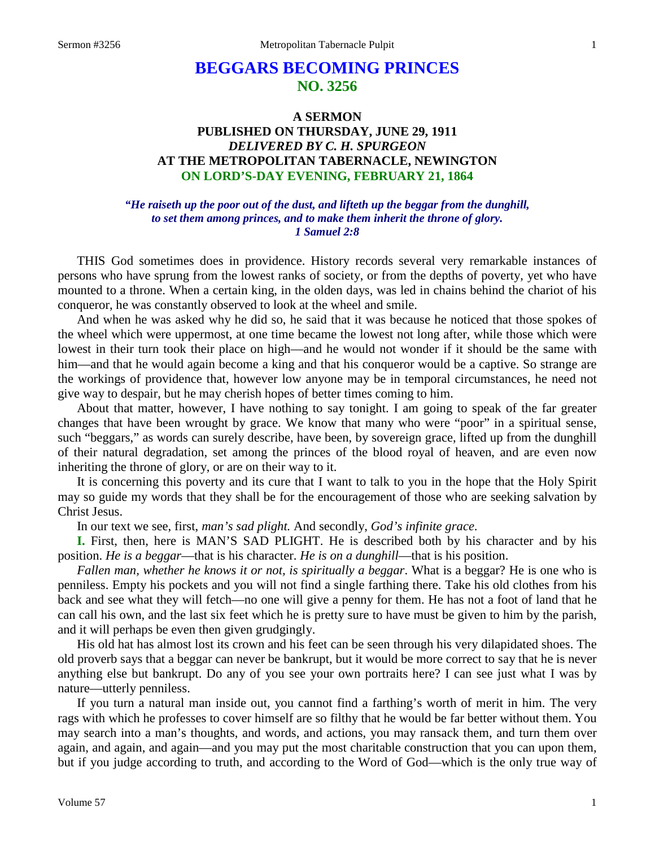# **BEGGARS BECOMING PRINCES NO. 3256**

# **A SERMON PUBLISHED ON THURSDAY, JUNE 29, 1911** *DELIVERED BY C. H. SPURGEON* **AT THE METROPOLITAN TABERNACLE, NEWINGTON ON LORD'S-DAY EVENING, FEBRUARY 21, 1864**

#### *"He raiseth up the poor out of the dust, and lifteth up the beggar from the dunghill, to set them among princes, and to make them inherit the throne of glory. 1 Samuel 2:8*

THIS God sometimes does in providence. History records several very remarkable instances of persons who have sprung from the lowest ranks of society, or from the depths of poverty, yet who have mounted to a throne. When a certain king, in the olden days, was led in chains behind the chariot of his conqueror, he was constantly observed to look at the wheel and smile.

And when he was asked why he did so, he said that it was because he noticed that those spokes of the wheel which were uppermost, at one time became the lowest not long after, while those which were lowest in their turn took their place on high—and he would not wonder if it should be the same with him—and that he would again become a king and that his conqueror would be a captive. So strange are the workings of providence that, however low anyone may be in temporal circumstances, he need not give way to despair, but he may cherish hopes of better times coming to him.

About that matter, however, I have nothing to say tonight. I am going to speak of the far greater changes that have been wrought by grace. We know that many who were "poor" in a spiritual sense, such "beggars," as words can surely describe, have been, by sovereign grace, lifted up from the dunghill of their natural degradation, set among the princes of the blood royal of heaven, and are even now inheriting the throne of glory, or are on their way to it.

It is concerning this poverty and its cure that I want to talk to you in the hope that the Holy Spirit may so guide my words that they shall be for the encouragement of those who are seeking salvation by Christ Jesus.

In our text we see, first, *man's sad plight.* And secondly, *God's infinite grace*.

**I.** First, then, here is MAN'S SAD PLIGHT. He is described both by his character and by his position. *He is a beggar*—that is his character. *He is on a dunghill*—that is his position.

*Fallen man, whether he knows it or not, is spiritually a beggar*. What is a beggar? He is one who is penniless. Empty his pockets and you will not find a single farthing there. Take his old clothes from his back and see what they will fetch—no one will give a penny for them. He has not a foot of land that he can call his own, and the last six feet which he is pretty sure to have must be given to him by the parish, and it will perhaps be even then given grudgingly.

His old hat has almost lost its crown and his feet can be seen through his very dilapidated shoes. The old proverb says that a beggar can never be bankrupt, but it would be more correct to say that he is never anything else but bankrupt. Do any of you see your own portraits here? I can see just what I was by nature—utterly penniless.

If you turn a natural man inside out, you cannot find a farthing's worth of merit in him. The very rags with which he professes to cover himself are so filthy that he would be far better without them. You may search into a man's thoughts, and words, and actions, you may ransack them, and turn them over again, and again, and again—and you may put the most charitable construction that you can upon them, but if you judge according to truth, and according to the Word of God—which is the only true way of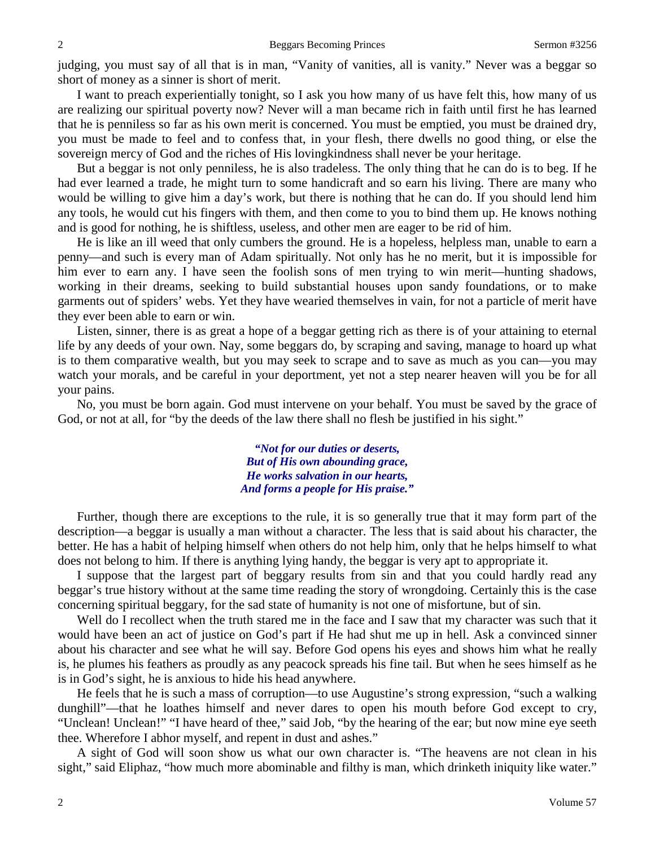judging, you must say of all that is in man, "Vanity of vanities, all is vanity." Never was a beggar so short of money as a sinner is short of merit.

I want to preach experientially tonight, so I ask you how many of us have felt this, how many of us are realizing our spiritual poverty now? Never will a man became rich in faith until first he has learned that he is penniless so far as his own merit is concerned. You must be emptied, you must be drained dry, you must be made to feel and to confess that, in your flesh, there dwells no good thing, or else the sovereign mercy of God and the riches of His lovingkindness shall never be your heritage.

But a beggar is not only penniless, he is also tradeless. The only thing that he can do is to beg. If he had ever learned a trade, he might turn to some handicraft and so earn his living. There are many who would be willing to give him a day's work, but there is nothing that he can do. If you should lend him any tools, he would cut his fingers with them, and then come to you to bind them up. He knows nothing and is good for nothing, he is shiftless, useless, and other men are eager to be rid of him.

He is like an ill weed that only cumbers the ground. He is a hopeless, helpless man, unable to earn a penny—and such is every man of Adam spiritually. Not only has he no merit, but it is impossible for him ever to earn any. I have seen the foolish sons of men trying to win merit—hunting shadows, working in their dreams, seeking to build substantial houses upon sandy foundations, or to make garments out of spiders' webs. Yet they have wearied themselves in vain, for not a particle of merit have they ever been able to earn or win.

Listen, sinner, there is as great a hope of a beggar getting rich as there is of your attaining to eternal life by any deeds of your own. Nay, some beggars do, by scraping and saving, manage to hoard up what is to them comparative wealth, but you may seek to scrape and to save as much as you can—you may watch your morals, and be careful in your deportment, yet not a step nearer heaven will you be for all your pains.

No, you must be born again. God must intervene on your behalf. You must be saved by the grace of God, or not at all, for "by the deeds of the law there shall no flesh be justified in his sight."

> *"Not for our duties or deserts, But of His own abounding grace, He works salvation in our hearts, And forms a people for His praise."*

Further, though there are exceptions to the rule, it is so generally true that it may form part of the description—a beggar is usually a man without a character. The less that is said about his character, the better. He has a habit of helping himself when others do not help him, only that he helps himself to what does not belong to him. If there is anything lying handy, the beggar is very apt to appropriate it.

I suppose that the largest part of beggary results from sin and that you could hardly read any beggar's true history without at the same time reading the story of wrongdoing. Certainly this is the case concerning spiritual beggary, for the sad state of humanity is not one of misfortune, but of sin.

Well do I recollect when the truth stared me in the face and I saw that my character was such that it would have been an act of justice on God's part if He had shut me up in hell. Ask a convinced sinner about his character and see what he will say. Before God opens his eyes and shows him what he really is, he plumes his feathers as proudly as any peacock spreads his fine tail. But when he sees himself as he is in God's sight, he is anxious to hide his head anywhere.

He feels that he is such a mass of corruption—to use Augustine's strong expression, "such a walking dunghill"—that he loathes himself and never dares to open his mouth before God except to cry, "Unclean! Unclean!" "I have heard of thee," said Job, "by the hearing of the ear; but now mine eye seeth thee. Wherefore I abhor myself, and repent in dust and ashes."

A sight of God will soon show us what our own character is. "The heavens are not clean in his sight," said Eliphaz, "how much more abominable and filthy is man, which drinketh iniquity like water."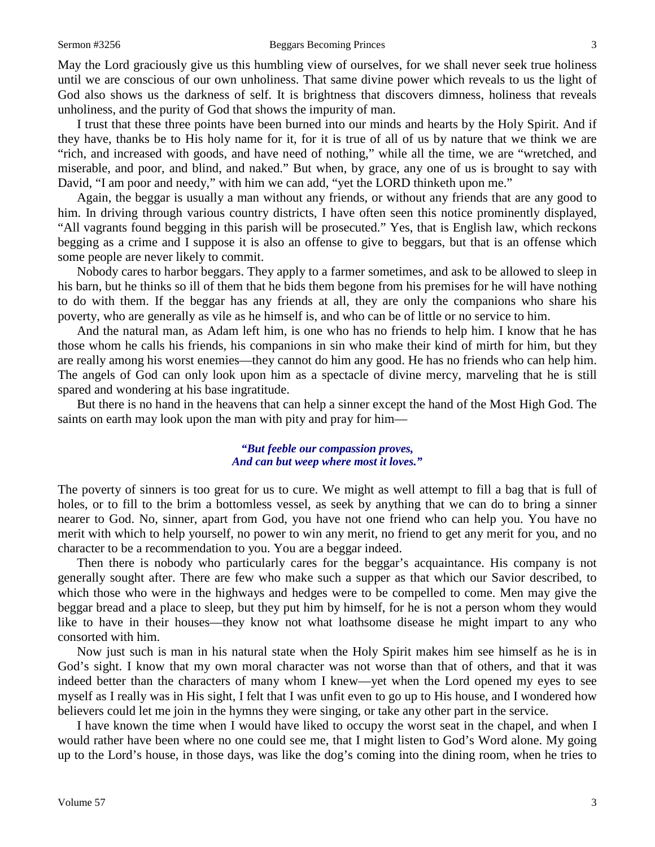May the Lord graciously give us this humbling view of ourselves, for we shall never seek true holiness until we are conscious of our own unholiness. That same divine power which reveals to us the light of God also shows us the darkness of self. It is brightness that discovers dimness, holiness that reveals unholiness, and the purity of God that shows the impurity of man.

I trust that these three points have been burned into our minds and hearts by the Holy Spirit. And if they have, thanks be to His holy name for it, for it is true of all of us by nature that we think we are "rich, and increased with goods, and have need of nothing," while all the time, we are "wretched, and miserable, and poor, and blind, and naked." But when, by grace, any one of us is brought to say with David, "I am poor and needy," with him we can add, "yet the LORD thinketh upon me."

Again, the beggar is usually a man without any friends, or without any friends that are any good to him. In driving through various country districts, I have often seen this notice prominently displayed, "All vagrants found begging in this parish will be prosecuted." Yes, that is English law, which reckons begging as a crime and I suppose it is also an offense to give to beggars, but that is an offense which some people are never likely to commit.

Nobody cares to harbor beggars. They apply to a farmer sometimes, and ask to be allowed to sleep in his barn, but he thinks so ill of them that he bids them begone from his premises for he will have nothing to do with them. If the beggar has any friends at all, they are only the companions who share his poverty, who are generally as vile as he himself is, and who can be of little or no service to him.

And the natural man, as Adam left him, is one who has no friends to help him. I know that he has those whom he calls his friends, his companions in sin who make their kind of mirth for him, but they are really among his worst enemies—they cannot do him any good. He has no friends who can help him. The angels of God can only look upon him as a spectacle of divine mercy, marveling that he is still spared and wondering at his base ingratitude.

But there is no hand in the heavens that can help a sinner except the hand of the Most High God. The saints on earth may look upon the man with pity and pray for him—

#### *"But feeble our compassion proves, And can but weep where most it loves."*

The poverty of sinners is too great for us to cure. We might as well attempt to fill a bag that is full of holes, or to fill to the brim a bottomless vessel, as seek by anything that we can do to bring a sinner nearer to God. No, sinner, apart from God, you have not one friend who can help you. You have no merit with which to help yourself, no power to win any merit, no friend to get any merit for you, and no character to be a recommendation to you. You are a beggar indeed.

Then there is nobody who particularly cares for the beggar's acquaintance. His company is not generally sought after. There are few who make such a supper as that which our Savior described, to which those who were in the highways and hedges were to be compelled to come. Men may give the beggar bread and a place to sleep, but they put him by himself, for he is not a person whom they would like to have in their houses—they know not what loathsome disease he might impart to any who consorted with him.

Now just such is man in his natural state when the Holy Spirit makes him see himself as he is in God's sight. I know that my own moral character was not worse than that of others, and that it was indeed better than the characters of many whom I knew—yet when the Lord opened my eyes to see myself as I really was in His sight, I felt that I was unfit even to go up to His house, and I wondered how believers could let me join in the hymns they were singing, or take any other part in the service.

I have known the time when I would have liked to occupy the worst seat in the chapel, and when I would rather have been where no one could see me, that I might listen to God's Word alone. My going up to the Lord's house, in those days, was like the dog's coming into the dining room, when he tries to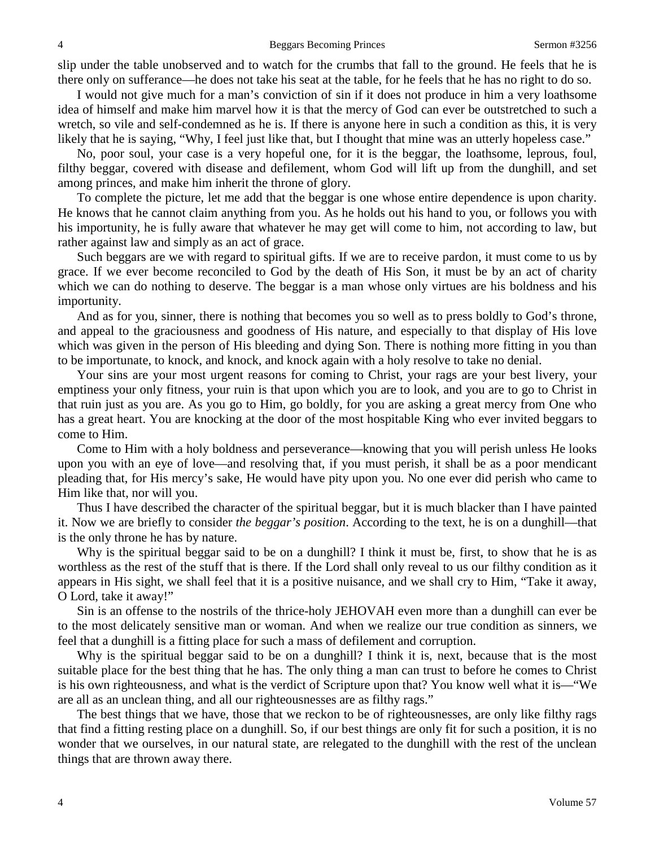slip under the table unobserved and to watch for the crumbs that fall to the ground. He feels that he is there only on sufferance—he does not take his seat at the table, for he feels that he has no right to do so.

I would not give much for a man's conviction of sin if it does not produce in him a very loathsome idea of himself and make him marvel how it is that the mercy of God can ever be outstretched to such a wretch, so vile and self-condemned as he is. If there is anyone here in such a condition as this, it is very likely that he is saying, "Why, I feel just like that, but I thought that mine was an utterly hopeless case."

No, poor soul, your case is a very hopeful one, for it is the beggar, the loathsome, leprous, foul, filthy beggar, covered with disease and defilement, whom God will lift up from the dunghill, and set among princes, and make him inherit the throne of glory.

To complete the picture, let me add that the beggar is one whose entire dependence is upon charity. He knows that he cannot claim anything from you. As he holds out his hand to you, or follows you with his importunity, he is fully aware that whatever he may get will come to him, not according to law, but rather against law and simply as an act of grace.

Such beggars are we with regard to spiritual gifts. If we are to receive pardon, it must come to us by grace. If we ever become reconciled to God by the death of His Son, it must be by an act of charity which we can do nothing to deserve. The beggar is a man whose only virtues are his boldness and his importunity.

And as for you, sinner, there is nothing that becomes you so well as to press boldly to God's throne, and appeal to the graciousness and goodness of His nature, and especially to that display of His love which was given in the person of His bleeding and dying Son. There is nothing more fitting in you than to be importunate, to knock, and knock, and knock again with a holy resolve to take no denial.

Your sins are your most urgent reasons for coming to Christ, your rags are your best livery, your emptiness your only fitness, your ruin is that upon which you are to look, and you are to go to Christ in that ruin just as you are. As you go to Him, go boldly, for you are asking a great mercy from One who has a great heart. You are knocking at the door of the most hospitable King who ever invited beggars to come to Him.

Come to Him with a holy boldness and perseverance—knowing that you will perish unless He looks upon you with an eye of love—and resolving that, if you must perish, it shall be as a poor mendicant pleading that, for His mercy's sake, He would have pity upon you. No one ever did perish who came to Him like that, nor will you.

Thus I have described the character of the spiritual beggar, but it is much blacker than I have painted it. Now we are briefly to consider *the beggar's position*. According to the text, he is on a dunghill—that is the only throne he has by nature.

Why is the spiritual beggar said to be on a dunghill? I think it must be, first, to show that he is as worthless as the rest of the stuff that is there. If the Lord shall only reveal to us our filthy condition as it appears in His sight, we shall feel that it is a positive nuisance, and we shall cry to Him, "Take it away, O Lord, take it away!"

Sin is an offense to the nostrils of the thrice-holy JEHOVAH even more than a dunghill can ever be to the most delicately sensitive man or woman. And when we realize our true condition as sinners, we feel that a dunghill is a fitting place for such a mass of defilement and corruption.

Why is the spiritual beggar said to be on a dunghill? I think it is, next, because that is the most suitable place for the best thing that he has. The only thing a man can trust to before he comes to Christ is his own righteousness, and what is the verdict of Scripture upon that? You know well what it is—"We are all as an unclean thing, and all our righteousnesses are as filthy rags."

The best things that we have, those that we reckon to be of righteousnesses, are only like filthy rags that find a fitting resting place on a dunghill. So, if our best things are only fit for such a position, it is no wonder that we ourselves, in our natural state, are relegated to the dunghill with the rest of the unclean things that are thrown away there.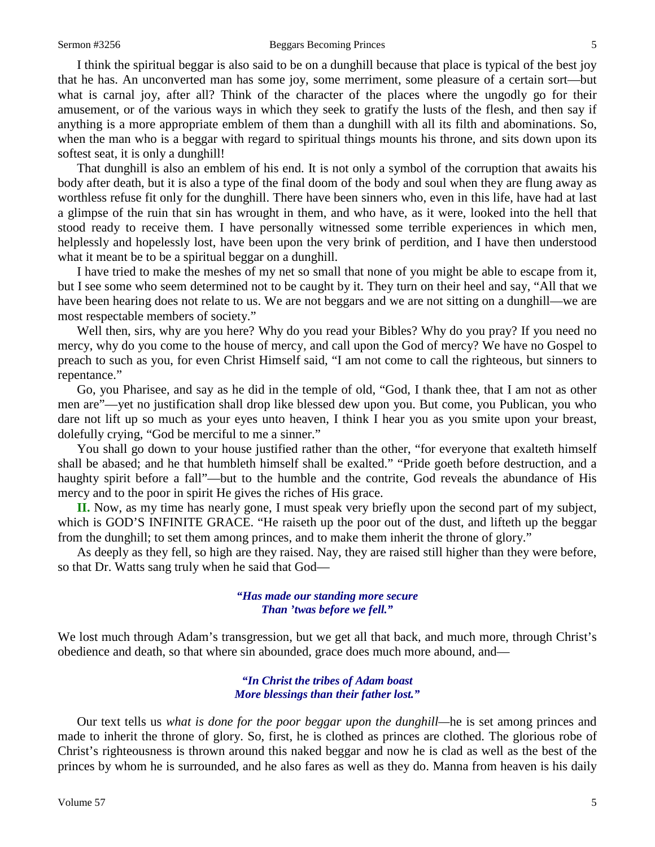#### Sermon #3256 **Beggars Becoming Princes** 5

I think the spiritual beggar is also said to be on a dunghill because that place is typical of the best joy that he has. An unconverted man has some joy, some merriment, some pleasure of a certain sort—but what is carnal joy, after all? Think of the character of the places where the ungodly go for their amusement, or of the various ways in which they seek to gratify the lusts of the flesh, and then say if anything is a more appropriate emblem of them than a dunghill with all its filth and abominations. So, when the man who is a beggar with regard to spiritual things mounts his throne, and sits down upon its softest seat, it is only a dunghill!

That dunghill is also an emblem of his end. It is not only a symbol of the corruption that awaits his body after death, but it is also a type of the final doom of the body and soul when they are flung away as worthless refuse fit only for the dunghill. There have been sinners who, even in this life, have had at last a glimpse of the ruin that sin has wrought in them, and who have, as it were, looked into the hell that stood ready to receive them. I have personally witnessed some terrible experiences in which men, helplessly and hopelessly lost, have been upon the very brink of perdition, and I have then understood what it meant be to be a spiritual beggar on a dunghill.

I have tried to make the meshes of my net so small that none of you might be able to escape from it, but I see some who seem determined not to be caught by it. They turn on their heel and say, "All that we have been hearing does not relate to us. We are not beggars and we are not sitting on a dunghill—we are most respectable members of society."

Well then, sirs, why are you here? Why do you read your Bibles? Why do you pray? If you need no mercy, why do you come to the house of mercy, and call upon the God of mercy? We have no Gospel to preach to such as you, for even Christ Himself said, "I am not come to call the righteous, but sinners to repentance."

Go, you Pharisee, and say as he did in the temple of old, "God, I thank thee, that I am not as other men are"—yet no justification shall drop like blessed dew upon you. But come, you Publican, you who dare not lift up so much as your eyes unto heaven, I think I hear you as you smite upon your breast, dolefully crying, "God be merciful to me a sinner."

You shall go down to your house justified rather than the other, "for everyone that exalteth himself shall be abased; and he that humbleth himself shall be exalted." "Pride goeth before destruction, and a haughty spirit before a fall"—but to the humble and the contrite, God reveals the abundance of His mercy and to the poor in spirit He gives the riches of His grace.

**II.** Now, as my time has nearly gone, I must speak very briefly upon the second part of my subject, which is GOD'S INFINITE GRACE. "He raiseth up the poor out of the dust, and lifteth up the beggar from the dunghill; to set them among princes, and to make them inherit the throne of glory."

As deeply as they fell, so high are they raised. Nay, they are raised still higher than they were before, so that Dr. Watts sang truly when he said that God—

### *"Has made our standing more secure Than 'twas before we fell."*

We lost much through Adam's transgression, but we get all that back, and much more, through Christ's obedience and death, so that where sin abounded, grace does much more abound, and—

> *"In Christ the tribes of Adam boast More blessings than their father lost."*

Our text tells us *what is done for the poor beggar upon the dunghill—*he is set among princes and made to inherit the throne of glory. So, first, he is clothed as princes are clothed. The glorious robe of Christ's righteousness is thrown around this naked beggar and now he is clad as well as the best of the princes by whom he is surrounded, and he also fares as well as they do. Manna from heaven is his daily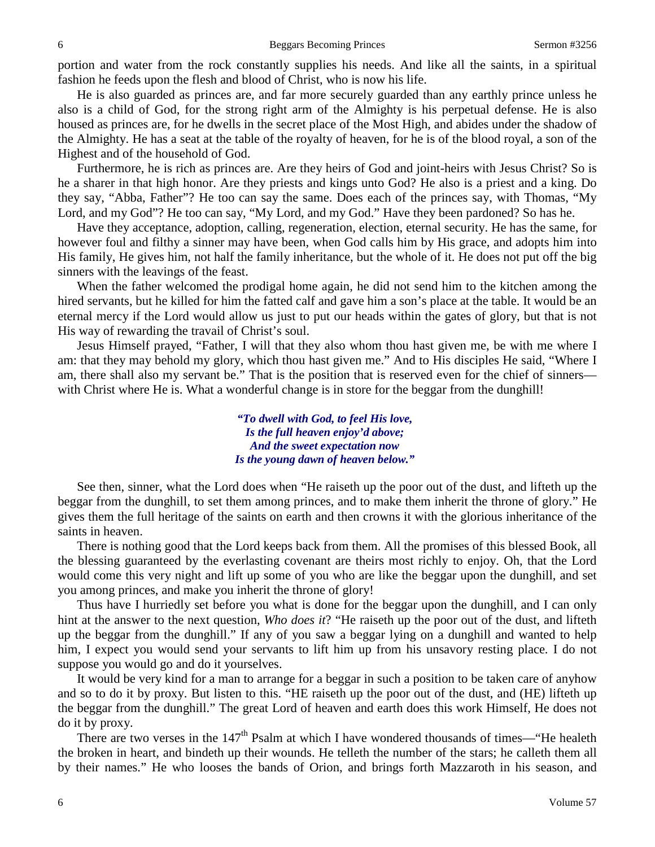portion and water from the rock constantly supplies his needs. And like all the saints, in a spiritual fashion he feeds upon the flesh and blood of Christ, who is now his life.

He is also guarded as princes are, and far more securely guarded than any earthly prince unless he also is a child of God, for the strong right arm of the Almighty is his perpetual defense. He is also housed as princes are, for he dwells in the secret place of the Most High, and abides under the shadow of the Almighty. He has a seat at the table of the royalty of heaven, for he is of the blood royal, a son of the Highest and of the household of God.

Furthermore, he is rich as princes are. Are they heirs of God and joint-heirs with Jesus Christ? So is he a sharer in that high honor. Are they priests and kings unto God? He also is a priest and a king. Do they say, "Abba, Father"? He too can say the same. Does each of the princes say, with Thomas, "My Lord, and my God"? He too can say, "My Lord, and my God." Have they been pardoned? So has he.

Have they acceptance, adoption, calling, regeneration, election, eternal security. He has the same, for however foul and filthy a sinner may have been, when God calls him by His grace, and adopts him into His family, He gives him, not half the family inheritance, but the whole of it. He does not put off the big sinners with the leavings of the feast.

When the father welcomed the prodigal home again, he did not send him to the kitchen among the hired servants, but he killed for him the fatted calf and gave him a son's place at the table. It would be an eternal mercy if the Lord would allow us just to put our heads within the gates of glory, but that is not His way of rewarding the travail of Christ's soul.

Jesus Himself prayed, "Father, I will that they also whom thou hast given me, be with me where I am: that they may behold my glory, which thou hast given me." And to His disciples He said, "Where I am, there shall also my servant be." That is the position that is reserved even for the chief of sinners with Christ where He is. What a wonderful change is in store for the beggar from the dunghill!

> *"To dwell with God, to feel His love, Is the full heaven enjoy'd above; And the sweet expectation now Is the young dawn of heaven below."*

See then, sinner, what the Lord does when "He raiseth up the poor out of the dust, and lifteth up the beggar from the dunghill, to set them among princes, and to make them inherit the throne of glory." He gives them the full heritage of the saints on earth and then crowns it with the glorious inheritance of the saints in heaven.

There is nothing good that the Lord keeps back from them. All the promises of this blessed Book, all the blessing guaranteed by the everlasting covenant are theirs most richly to enjoy. Oh, that the Lord would come this very night and lift up some of you who are like the beggar upon the dunghill, and set you among princes, and make you inherit the throne of glory!

Thus have I hurriedly set before you what is done for the beggar upon the dunghill, and I can only hint at the answer to the next question, *Who does it*? "He raiseth up the poor out of the dust, and lifteth up the beggar from the dunghill." If any of you saw a beggar lying on a dunghill and wanted to help him, I expect you would send your servants to lift him up from his unsavory resting place. I do not suppose you would go and do it yourselves.

It would be very kind for a man to arrange for a beggar in such a position to be taken care of anyhow and so to do it by proxy. But listen to this. "HE raiseth up the poor out of the dust, and (HE) lifteth up the beggar from the dunghill." The great Lord of heaven and earth does this work Himself, He does not do it by proxy.

There are two verses in the 147<sup>th</sup> Psalm at which I have wondered thousands of times—"He healeth the broken in heart, and bindeth up their wounds. He telleth the number of the stars; he calleth them all by their names." He who looses the bands of Orion, and brings forth Mazzaroth in his season, and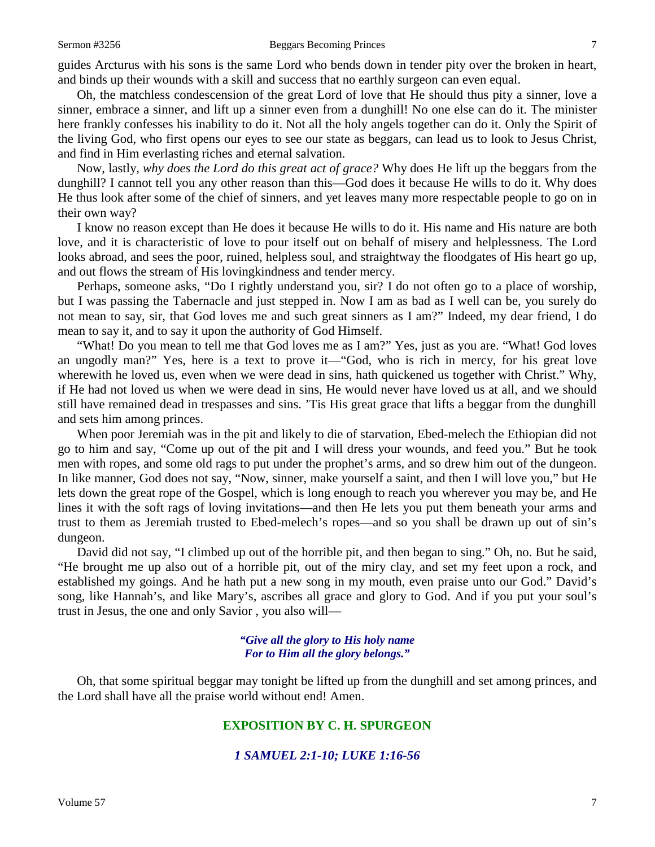guides Arcturus with his sons is the same Lord who bends down in tender pity over the broken in heart, and binds up their wounds with a skill and success that no earthly surgeon can even equal.

Oh, the matchless condescension of the great Lord of love that He should thus pity a sinner, love a sinner, embrace a sinner, and lift up a sinner even from a dunghill! No one else can do it. The minister here frankly confesses his inability to do it. Not all the holy angels together can do it. Only the Spirit of the living God, who first opens our eyes to see our state as beggars, can lead us to look to Jesus Christ, and find in Him everlasting riches and eternal salvation.

Now, lastly, *why does the Lord do this great act of grace?* Why does He lift up the beggars from the dunghill? I cannot tell you any other reason than this—God does it because He wills to do it. Why does He thus look after some of the chief of sinners, and yet leaves many more respectable people to go on in their own way?

I know no reason except than He does it because He wills to do it. His name and His nature are both love, and it is characteristic of love to pour itself out on behalf of misery and helplessness. The Lord looks abroad, and sees the poor, ruined, helpless soul, and straightway the floodgates of His heart go up, and out flows the stream of His lovingkindness and tender mercy.

Perhaps, someone asks, "Do I rightly understand you, sir? I do not often go to a place of worship, but I was passing the Tabernacle and just stepped in. Now I am as bad as I well can be, you surely do not mean to say, sir, that God loves me and such great sinners as I am?" Indeed, my dear friend, I do mean to say it, and to say it upon the authority of God Himself.

"What! Do you mean to tell me that God loves me as I am?" Yes, just as you are. "What! God loves an ungodly man?" Yes, here is a text to prove it—"God, who is rich in mercy, for his great love wherewith he loved us, even when we were dead in sins, hath quickened us together with Christ." Why, if He had not loved us when we were dead in sins, He would never have loved us at all, and we should still have remained dead in trespasses and sins. 'Tis His great grace that lifts a beggar from the dunghill and sets him among princes.

When poor Jeremiah was in the pit and likely to die of starvation, Ebed-melech the Ethiopian did not go to him and say, "Come up out of the pit and I will dress your wounds, and feed you." But he took men with ropes, and some old rags to put under the prophet's arms, and so drew him out of the dungeon. In like manner, God does not say, "Now, sinner, make yourself a saint, and then I will love you," but He lets down the great rope of the Gospel, which is long enough to reach you wherever you may be, and He lines it with the soft rags of loving invitations—and then He lets you put them beneath your arms and trust to them as Jeremiah trusted to Ebed-melech's ropes—and so you shall be drawn up out of sin's dungeon.

David did not say, "I climbed up out of the horrible pit, and then began to sing." Oh, no. But he said, "He brought me up also out of a horrible pit, out of the miry clay, and set my feet upon a rock, and established my goings. And he hath put a new song in my mouth, even praise unto our God." David's song, like Hannah's, and like Mary's, ascribes all grace and glory to God. And if you put your soul's trust in Jesus, the one and only Savior , you also will—

#### *"Give all the glory to His holy name For to Him all the glory belongs."*

Oh, that some spiritual beggar may tonight be lifted up from the dunghill and set among princes, and the Lord shall have all the praise world without end! Amen.

## **EXPOSITION BY C. H. SPURGEON**

### *1 SAMUEL 2:1-10; LUKE 1:16-56*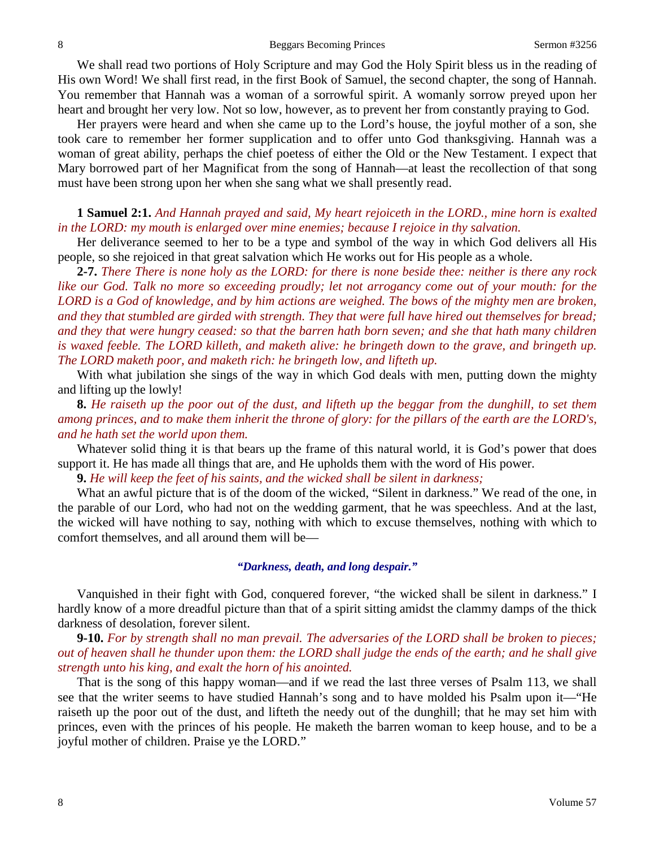We shall read two portions of Holy Scripture and may God the Holy Spirit bless us in the reading of His own Word! We shall first read, in the first Book of Samuel, the second chapter, the song of Hannah. You remember that Hannah was a woman of a sorrowful spirit. A womanly sorrow preyed upon her heart and brought her very low. Not so low, however, as to prevent her from constantly praying to God.

Her prayers were heard and when she came up to the Lord's house, the joyful mother of a son, she took care to remember her former supplication and to offer unto God thanksgiving. Hannah was a woman of great ability, perhaps the chief poetess of either the Old or the New Testament. I expect that Mary borrowed part of her Magnificat from the song of Hannah—at least the recollection of that song must have been strong upon her when she sang what we shall presently read.

#### **1 Samuel 2:1.** *And Hannah prayed and said, My heart rejoiceth in the LORD., mine horn is exalted in the LORD: my mouth is enlarged over mine enemies; because I rejoice in thy salvation.*

Her deliverance seemed to her to be a type and symbol of the way in which God delivers all His people, so she rejoiced in that great salvation which He works out for His people as a whole.

**2-7.** *There There is none holy as the LORD: for there is none beside thee: neither is there any rock like our God. Talk no more so exceeding proudly; let not arrogancy come out of your mouth: for the LORD is a God of knowledge, and by him actions are weighed. The bows of the mighty men are broken, and they that stumbled are girded with strength. They that were full have hired out themselves for bread; and they that were hungry ceased: so that the barren hath born seven; and she that hath many children is waxed feeble. The LORD killeth, and maketh alive: he bringeth down to the grave, and bringeth up. The LORD maketh poor, and maketh rich: he bringeth low, and lifteth up.*

With what jubilation she sings of the way in which God deals with men, putting down the mighty and lifting up the lowly!

**8.** *He raiseth up the poor out of the dust, and lifteth up the beggar from the dunghill, to set them among princes, and to make them inherit the throne of glory: for the pillars of the earth are the LORD's, and he hath set the world upon them.*

Whatever solid thing it is that bears up the frame of this natural world, it is God's power that does support it. He has made all things that are, and He upholds them with the word of His power.

**9.** *He will keep the feet of his saints, and the wicked shall be silent in darkness;*

What an awful picture that is of the doom of the wicked, "Silent in darkness." We read of the one, in the parable of our Lord, who had not on the wedding garment, that he was speechless. And at the last, the wicked will have nothing to say, nothing with which to excuse themselves, nothing with which to comfort themselves, and all around them will be—

#### *"Darkness, death, and long despair."*

Vanquished in their fight with God, conquered forever, "the wicked shall be silent in darkness." I hardly know of a more dreadful picture than that of a spirit sitting amidst the clammy damps of the thick darkness of desolation, forever silent.

**9-10.** *For by strength shall no man prevail. The adversaries of the LORD shall be broken to pieces; out of heaven shall he thunder upon them: the LORD shall judge the ends of the earth; and he shall give strength unto his king, and exalt the horn of his anointed.*

That is the song of this happy woman—and if we read the last three verses of Psalm 113, we shall see that the writer seems to have studied Hannah's song and to have molded his Psalm upon it—"He raiseth up the poor out of the dust, and lifteth the needy out of the dunghill; that he may set him with princes, even with the princes of his people. He maketh the barren woman to keep house, and to be a joyful mother of children. Praise ye the LORD."